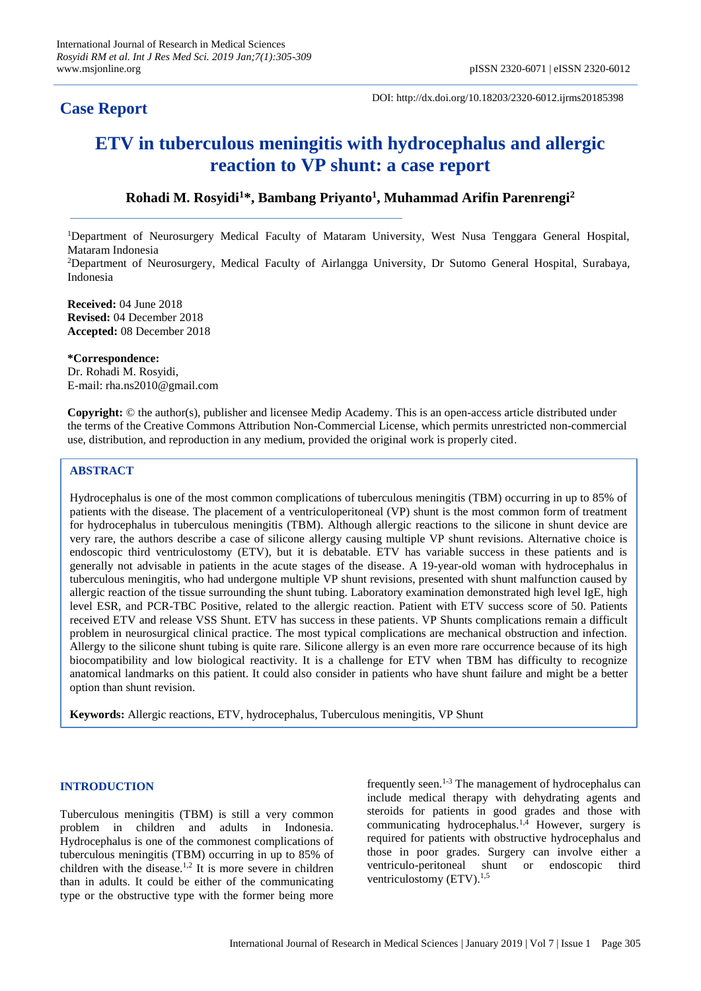## **Case Report**

Indonesia

DOI: http://dx.doi.org/10.18203/2320-6012.ijrms20185398

# **ETV in tuberculous meningitis with hydrocephalus and allergic reaction to VP shunt: a case report**

### **Rohadi M. Rosyidi<sup>1</sup>\*, Bambang Priyanto<sup>1</sup> , Muhammad Arifin Parenrengi<sup>2</sup>**

<sup>1</sup>Department of Neurosurgery Medical Faculty of Mataram University, West Nusa Tenggara General Hospital, Mataram Indonesia <sup>2</sup>Department of Neurosurgery, Medical Faculty of Airlangga University, Dr Sutomo General Hospital, Surabaya,

**Received:** 04 June 2018 **Revised:** 04 December 2018 **Accepted:** 08 December 2018

**\*Correspondence:** Dr. Rohadi M. Rosyidi, E-mail: rha.ns2010@gmail.com

**Copyright:** © the author(s), publisher and licensee Medip Academy. This is an open-access article distributed under the terms of the Creative Commons Attribution Non-Commercial License, which permits unrestricted non-commercial use, distribution, and reproduction in any medium, provided the original work is properly cited.

#### **ABSTRACT**

Hydrocephalus is one of the most common complications of tuberculous meningitis (TBM) occurring in up to 85% of patients with the disease. The placement of a ventriculoperitoneal (VP) shunt is the most common form of treatment for hydrocephalus in tuberculous meningitis (TBM). Although allergic reactions to the silicone in shunt device are very rare, the authors describe a case of silicone allergy causing multiple VP shunt revisions. Alternative choice is endoscopic third ventriculostomy (ETV), but it is debatable. ETV has variable success in these patients and is generally not advisable in patients in the acute stages of the disease. A 19-year-old woman with hydrocephalus in tuberculous meningitis, who had undergone multiple VP shunt revisions, presented with shunt malfunction caused by allergic reaction of the tissue surrounding the shunt tubing. Laboratory examination demonstrated high level IgE, high level ESR, and PCR-TBC Positive, related to the allergic reaction. Patient with ETV success score of 50. Patients received ETV and release VSS Shunt. ETV has success in these patients. VP Shunts complications remain a difficult problem in neurosurgical clinical practice. The most typical complications are mechanical obstruction and infection. Allergy to the silicone shunt tubing is quite rare. Silicone allergy is an even more rare occurrence because of its high biocompatibility and low biological reactivity. It is a challenge for ETV when TBM has difficulty to recognize anatomical landmarks on this patient. It could also consider in patients who have shunt failure and might be a better option than shunt revision.

**Keywords:** Allergic reactions, ETV, hydrocephalus, Tuberculous meningitis, VP Shunt

#### **INTRODUCTION**

Tuberculous meningitis (TBM) is still a very common problem in children and adults in Indonesia. Hydrocephalus is one of the commonest complications of tuberculous meningitis (TBM) occurring in up to 85% of children with the disease.<sup>1,2</sup> It is more severe in children than in adults. It could be either of the communicating type or the obstructive type with the former being more frequently seen.<sup>1-3</sup> The management of hydrocephalus can include medical therapy with dehydrating agents and steroids for patients in good grades and those with communicating hydrocephalus.<sup>1,4</sup> However, surgery is required for patients with obstructive hydrocephalus and those in poor grades. Surgery can involve either a ventriculo-peritoneal shunt or endoscopic third ventriculostomy  $(ETV)^{1,5}$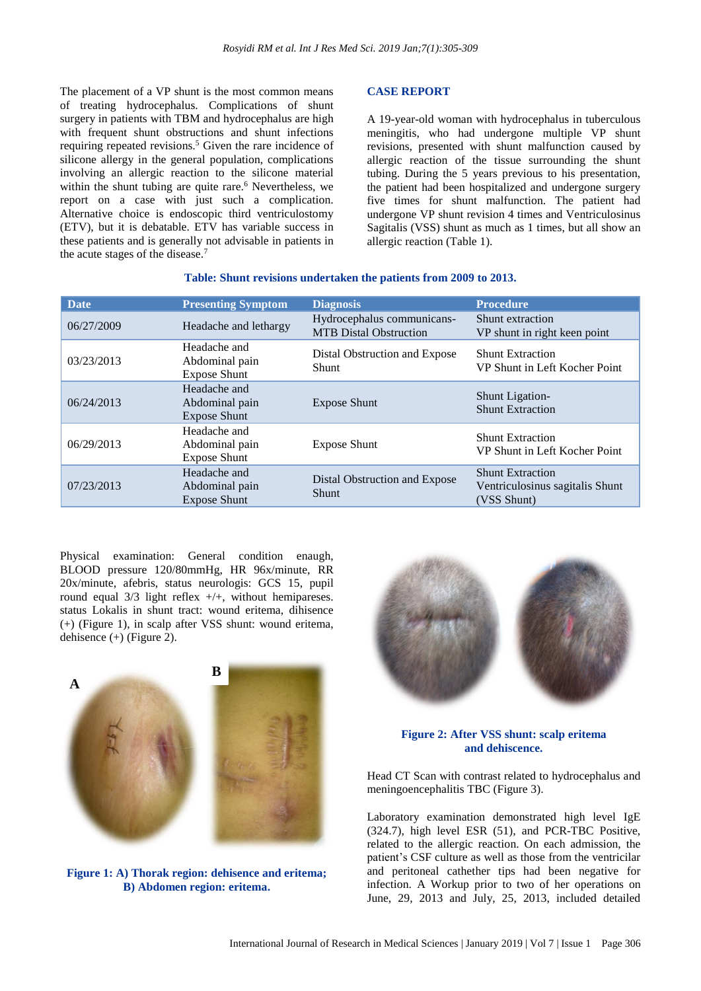The placement of a VP shunt is the most common means of treating hydrocephalus. Complications of shunt surgery in patients with TBM and hydrocephalus are high with frequent shunt obstructions and shunt infections requiring repeated revisions.<sup>5</sup> Given the rare incidence of silicone allergy in the general population, complications involving an allergic reaction to the silicone material within the shunt tubing are quite rare.<sup>6</sup> Nevertheless, we report on a case with just such a complication. Alternative choice is endoscopic third ventriculostomy (ETV), but it is debatable. ETV has variable success in these patients and is generally not advisable in patients in the acute stages of the disease.<sup>7</sup>

#### **CASE REPORT**

A 19-year-old woman with hydrocephalus in tuberculous meningitis, who had undergone multiple VP shunt revisions, presented with shunt malfunction caused by allergic reaction of the tissue surrounding the shunt tubing. During the 5 years previous to his presentation, the patient had been hospitalized and undergone surgery five times for shunt malfunction. The patient had undergone VP shunt revision 4 times and Ventriculosinus Sagitalis (VSS) shunt as much as 1 times, but all show an allergic reaction (Table 1).

| Date.      | <b>Presenting Symptom</b>                             | <b>Diagnosis</b>                                            | <b>Procedure</b>                                                          |
|------------|-------------------------------------------------------|-------------------------------------------------------------|---------------------------------------------------------------------------|
| 06/27/2009 | Headache and lethargy                                 | Hydrocephalus communicans-<br><b>MTB</b> Distal Obstruction | Shunt extraction<br>VP shunt in right keen point                          |
| 03/23/2013 | Headache and<br>Abdominal pain<br><b>Expose Shunt</b> | Distal Obstruction and Expose<br><b>Shunt</b>               | <b>Shunt Extraction</b><br>VP Shunt in Left Kocher Point                  |
| 06/24/2013 | Headache and<br>Abdominal pain<br><b>Expose Shunt</b> | <b>Expose Shunt</b>                                         | <b>Shunt Ligation-</b><br><b>Shunt Extraction</b>                         |
| 06/29/2013 | Headache and<br>Abdominal pain<br><b>Expose Shunt</b> | <b>Expose Shunt</b>                                         | <b>Shunt Extraction</b><br>VP Shunt in Left Kocher Point                  |
| 07/23/2013 | Headache and<br>Abdominal pain<br><b>Expose Shunt</b> | Distal Obstruction and Expose<br><b>Shunt</b>               | <b>Shunt Extraction</b><br>Ventriculosinus sagitalis Shunt<br>(VSS Shunt) |

#### **Table: Shunt revisions undertaken the patients from 2009 to 2013.**

Physical examination: General condition enaugh, BLOOD pressure 120/80mmHg, HR 96x/minute, RR 20x/minute, afebris, status neurologis: GCS 15, pupil round equal 3/3 light reflex +/+, without hemipareses. status Lokalis in shunt tract: wound eritema, dihisence (+) (Figure 1), in scalp after VSS shunt: wound eritema, dehisence  $(+)$  (Figure 2).



**Figure 1: A) Thorak region: dehisence and eritema; B) Abdomen region: eritema.**



#### **Figure 2: After VSS shunt: scalp eritema and dehiscence.**

Head CT Scan with contrast related to hydrocephalus and meningoencephalitis TBC (Figure 3).

Laboratory examination demonstrated high level IgE (324.7), high level ESR (51), and PCR-TBC Positive, related to the allergic reaction. On each admission, the patient's CSF culture as well as those from the ventricilar and peritoneal cathether tips had been negative for infection. A Workup prior to two of her operations on June, 29, 2013 and July, 25, 2013, included detailed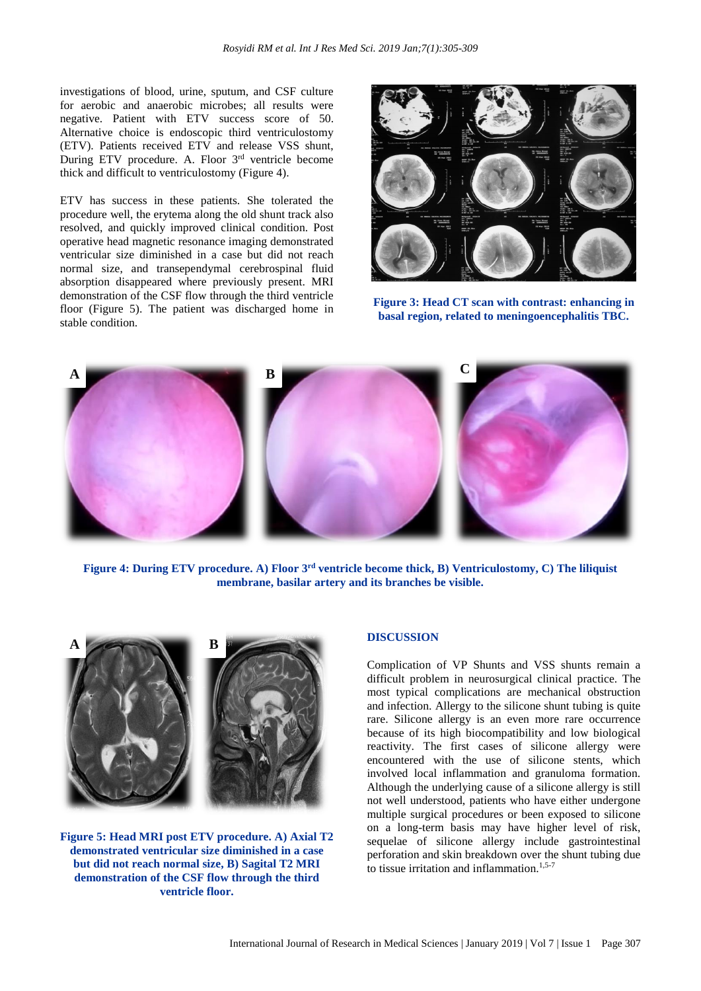investigations of blood, urine, sputum, and CSF culture for aerobic and anaerobic microbes; all results were negative. Patient with ETV success score of 50. Alternative choice is endoscopic third ventriculostomy (ETV). Patients received ETV and release VSS shunt, During ETV procedure. A. Floor 3<sup>rd</sup> ventricle become thick and difficult to ventriculostomy (Figure 4).

ETV has success in these patients. She tolerated the procedure well, the erytema along the old shunt track also resolved, and quickly improved clinical condition. Post operative head magnetic resonance imaging demonstrated ventricular size diminished in a case but did not reach normal size, and transependymal cerebrospinal fluid absorption disappeared where previously present. MRI demonstration of the CSF flow through the third ventricle floor (Figure 5). The patient was discharged home in stable condition.



**Figure 3: Head CT scan with contrast: enhancing in basal region, related to meningoencephalitis TBC.**



Figure 4: During ETV procedure. A) Floor 3<sup>rd</sup> ventricle become thick, B) Ventriculostomy, C) The liliquist **membrane, basilar artery and its branches be visible.**



**Figure 5: Head MRI post ETV procedure. A) Axial T2 demonstrated ventricular size diminished in a case but did not reach normal size, B) Sagital T2 MRI demonstration of the CSF flow through the third ventricle floor.**

#### **DISCUSSION**

Complication of VP Shunts and VSS shunts remain a difficult problem in neurosurgical clinical practice. The most typical complications are mechanical obstruction and infection. Allergy to the silicone shunt tubing is quite rare. Silicone allergy is an even more rare occurrence because of its high biocompatibility and low biological reactivity. The first cases of silicone allergy were encountered with the use of silicone stents, which involved local inflammation and granuloma formation. Although the underlying cause of a silicone allergy is still not well understood, patients who have either undergone multiple surgical procedures or been exposed to silicone on a long-term basis may have higher level of risk, sequelae of silicone allergy include gastrointestinal perforation and skin breakdown over the shunt tubing due to tissue irritation and inflammation.<sup>1,5-7</sup>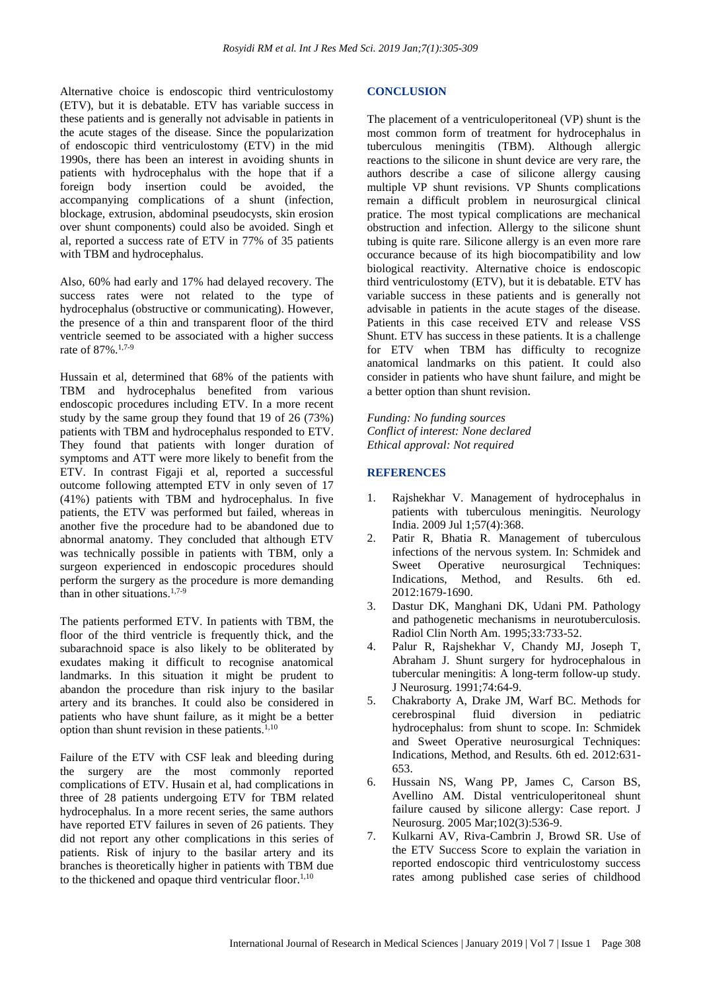Alternative choice is endoscopic third ventriculostomy (ETV), but it is debatable. ETV has variable success in these patients and is generally not advisable in patients in the acute stages of the disease. Since the popularization of endoscopic third ventriculostomy (ETV) in the mid 1990s, there has been an interest in avoiding shunts in patients with hydrocephalus with the hope that if a foreign body insertion could be avoided, the accompanying complications of a shunt (infection, blockage, extrusion, abdominal pseudocysts, skin erosion over shunt components) could also be avoided. Singh et al, reported a success rate of ETV in 77% of 35 patients with TBM and hydrocephalus.

Also, 60% had early and 17% had delayed recovery. The success rates were not related to the type of hydrocephalus (obstructive or communicating). However, the presence of a thin and transparent floor of the third ventricle seemed to be associated with a higher success rate of 87%.1,7-9

Hussain et al, determined that 68% of the patients with TBM and hydrocephalus benefited from various endoscopic procedures including ETV. In a more recent study by the same group they found that 19 of 26 (73%) patients with TBM and hydrocephalus responded to ETV. They found that patients with longer duration of symptoms and ATT were more likely to benefit from the ETV. In contrast Figaji et al, reported a successful outcome following attempted ETV in only seven of 17 (41%) patients with TBM and hydrocephalus. In five patients, the ETV was performed but failed, whereas in another five the procedure had to be abandoned due to abnormal anatomy. They concluded that although ETV was technically possible in patients with TBM, only a surgeon experienced in endoscopic procedures should perform the surgery as the procedure is more demanding than in other situations.1,7-9

The patients performed ETV. In patients with TBM, the floor of the third ventricle is frequently thick, and the subarachnoid space is also likely to be obliterated by exudates making it difficult to recognise anatomical landmarks. In this situation it might be prudent to abandon the procedure than risk injury to the basilar artery and its branches. It could also be considered in patients who have shunt failure, as it might be a better option than shunt revision in these patients. $1,10$ 

Failure of the ETV with CSF leak and bleeding during the surgery are the most commonly reported complications of ETV. Husain et al, had complications in three of 28 patients undergoing ETV for TBM related hydrocephalus. In a more recent series, the same authors have reported ETV failures in seven of 26 patients. They did not report any other complications in this series of patients. Risk of injury to the basilar artery and its branches is theoretically higher in patients with TBM due to the thickened and opaque third ventricular floor. $1,10$ 

#### **CONCLUSION**

The placement of a ventriculoperitoneal (VP) shunt is the most common form of treatment for hydrocephalus in tuberculous meningitis (TBM). Although allergic reactions to the silicone in shunt device are very rare, the authors describe a case of silicone allergy causing multiple VP shunt revisions. VP Shunts complications remain a difficult problem in neurosurgical clinical pratice. The most typical complications are mechanical obstruction and infection. Allergy to the silicone shunt tubing is quite rare. Silicone allergy is an even more rare occurance because of its high biocompatibility and low biological reactivity. Alternative choice is endoscopic third ventriculostomy (ETV), but it is debatable. ETV has variable success in these patients and is generally not advisable in patients in the acute stages of the disease. Patients in this case received ETV and release VSS Shunt. ETV has success in these patients. It is a challenge for ETV when TBM has difficulty to recognize anatomical landmarks on this patient. It could also consider in patients who have shunt failure, and might be a better option than shunt revision.

*Funding: No funding sources Conflict of interest: None declared Ethical approval: Not required*

#### **REFERENCES**

- 1. Rajshekhar V. Management of hydrocephalus in patients with tuberculous meningitis. Neurology India. 2009 Jul 1;57(4):368.
- 2. Patir R, Bhatia R. Management of tuberculous infections of the nervous system. In: Schmidek and Sweet Operative neurosurgical Techniques: Indications, Method, and Results. 6th ed. 2012:1679-1690.
- 3. Dastur DK, Manghani DK, Udani PM. Pathology and pathogenetic mechanisms in neurotuberculosis. Radiol Clin North Am. 1995;33:733-52.
- 4. Palur R, Rajshekhar V, Chandy MJ, Joseph T, Abraham J. Shunt surgery for hydrocephalous in tubercular meningitis: A long-term follow-up study. J Neurosurg. 1991;74:64-9.
- 5. Chakraborty A, Drake JM, Warf BC. Methods for cerebrospinal fluid diversion in pediatric hydrocephalus: from shunt to scope. In: Schmidek and Sweet Operative neurosurgical Techniques: Indications, Method, and Results. 6th ed. 2012:631- 653.
- 6. Hussain NS, Wang PP, James C, Carson BS, Avellino AM. Distal ventriculoperitoneal shunt failure caused by silicone allergy: Case report. J Neurosurg. 2005 Mar;102(3):536-9.
- 7. Kulkarni AV, Riva-Cambrin J, Browd SR. Use of the ETV Success Score to explain the variation in reported endoscopic third ventriculostomy success rates among published case series of childhood